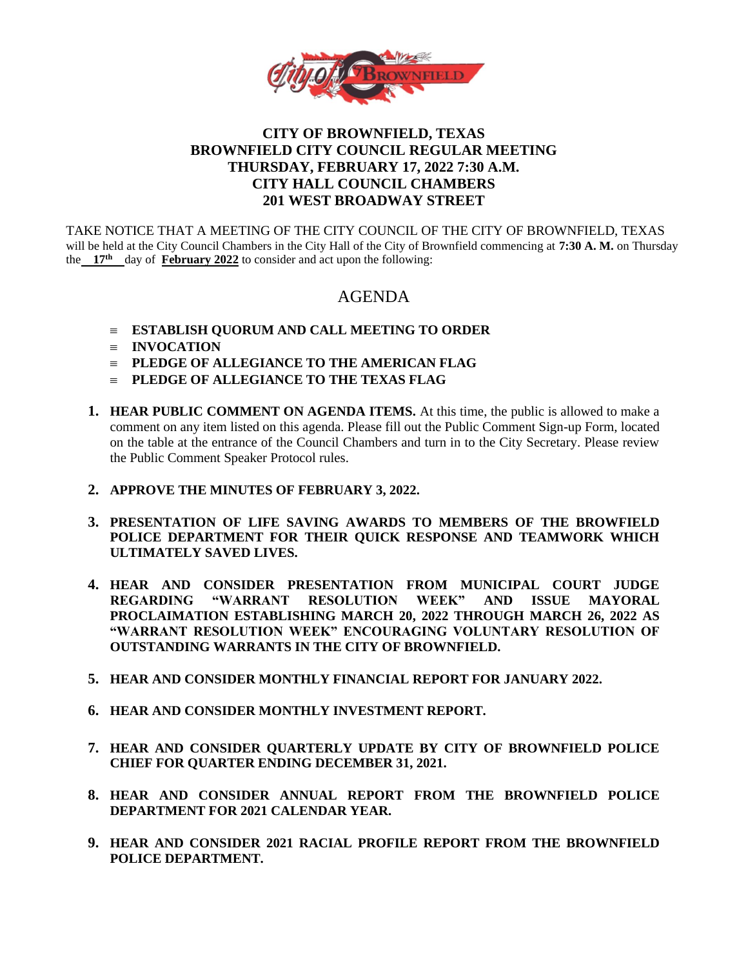

## **CITY OF BROWNFIELD, TEXAS BROWNFIELD CITY COUNCIL REGULAR MEETING THURSDAY, FEBRUARY 17, 2022 7:30 A.M. CITY HALL COUNCIL CHAMBERS 201 WEST BROADWAY STREET**

TAKE NOTICE THAT A MEETING OF THE CITY COUNCIL OF THE CITY OF BROWNFIELD, TEXAS will be held at the City Council Chambers in the City Hall of the City of Brownfield commencing at **7:30 A. M.** on Thursday the **17th** day of **February 2022** to consider and act upon the following:

# AGENDA

- **ESTABLISH QUORUM AND CALL MEETING TO ORDER**
- **INVOCATION**
- **PLEDGE OF ALLEGIANCE TO THE AMERICAN FLAG**
- **PLEDGE OF ALLEGIANCE TO THE TEXAS FLAG**
- **1. HEAR PUBLIC COMMENT ON AGENDA ITEMS.** At this time, the public is allowed to make a comment on any item listed on this agenda. Please fill out the Public Comment Sign-up Form, located on the table at the entrance of the Council Chambers and turn in to the City Secretary. Please review the Public Comment Speaker Protocol rules.
- **2. APPROVE THE MINUTES OF FEBRUARY 3, 2022.**
- **3. PRESENTATION OF LIFE SAVING AWARDS TO MEMBERS OF THE BROWFIELD POLICE DEPARTMENT FOR THEIR QUICK RESPONSE AND TEAMWORK WHICH ULTIMATELY SAVED LIVES.**
- **4. HEAR AND CONSIDER PRESENTATION FROM MUNICIPAL COURT JUDGE REGARDING "WARRANT RESOLUTION WEEK" AND ISSUE MAYORAL PROCLAIMATION ESTABLISHING MARCH 20, 2022 THROUGH MARCH 26, 2022 AS "WARRANT RESOLUTION WEEK" ENCOURAGING VOLUNTARY RESOLUTION OF OUTSTANDING WARRANTS IN THE CITY OF BROWNFIELD.**
- **5. HEAR AND CONSIDER MONTHLY FINANCIAL REPORT FOR JANUARY 2022.**
- **6. HEAR AND CONSIDER MONTHLY INVESTMENT REPORT.**
- **7. HEAR AND CONSIDER QUARTERLY UPDATE BY CITY OF BROWNFIELD POLICE CHIEF FOR QUARTER ENDING DECEMBER 31, 2021.**
- **8. HEAR AND CONSIDER ANNUAL REPORT FROM THE BROWNFIELD POLICE DEPARTMENT FOR 2021 CALENDAR YEAR.**
- **9. HEAR AND CONSIDER 2021 RACIAL PROFILE REPORT FROM THE BROWNFIELD POLICE DEPARTMENT.**